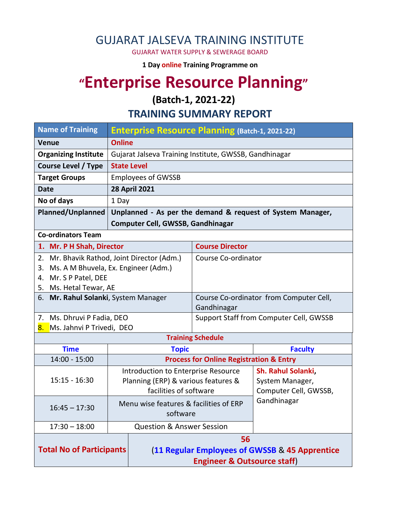### GUJARAT JALSEVA TRAINING INSTITUTE

GUJARAT WATER SUPPLY & SEWERAGE BOARD

**1 Day online Training Programme on** 

# **"Enterprise Resource Planning"**

**(Batch-1, 2021-22)**

**TRAINING SUMMARY REPORT**

| <b>Name of Training</b>                                                                                   | <b>Enterprise Resource Planning (Batch-1, 2021-22)</b> |                                                            |                                      |  |  |
|-----------------------------------------------------------------------------------------------------------|--------------------------------------------------------|------------------------------------------------------------|--------------------------------------|--|--|
| <b>Venue</b>                                                                                              | <b>Online</b>                                          |                                                            |                                      |  |  |
| <b>Organizing Institute</b>                                                                               | Gujarat Jalseva Training Institute, GWSSB, Gandhinagar |                                                            |                                      |  |  |
| <b>Course Level / Type</b>                                                                                |                                                        |                                                            |                                      |  |  |
| <b>Target Groups</b>                                                                                      | <b>Employees of GWSSB</b>                              |                                                            |                                      |  |  |
| <b>28 April 2021</b><br><b>Date</b>                                                                       |                                                        |                                                            |                                      |  |  |
| No of days                                                                                                | 1 Day                                                  |                                                            |                                      |  |  |
| <b>Planned/Unplanned</b>                                                                                  |                                                        | Unplanned - As per the demand & request of System Manager, |                                      |  |  |
|                                                                                                           | <b>Computer Cell, GWSSB, Gandhinagar</b>               |                                                            |                                      |  |  |
| <b>Co-ordinators Team</b>                                                                                 |                                                        |                                                            |                                      |  |  |
| 1. Mr. P H Shah, Director                                                                                 |                                                        | <b>Course Director</b>                                     |                                      |  |  |
| 2. Mr. Bhavik Rathod, Joint Director (Adm.)                                                               |                                                        | Course Co-ordinator                                        |                                      |  |  |
| Ms. A M Bhuvela, Ex. Engineer (Adm.)<br>3.                                                                |                                                        |                                                            |                                      |  |  |
| 4. Mr. S P Patel, DEE                                                                                     |                                                        |                                                            |                                      |  |  |
| 5. Ms. Hetal Tewar, AE<br>6. Mr. Rahul Solanki, System Manager<br>Course Co-ordinator from Computer Cell, |                                                        |                                                            |                                      |  |  |
|                                                                                                           |                                                        | Gandhinagar                                                |                                      |  |  |
| 7. Ms. Dhruvi P Fadia, DEO                                                                                |                                                        | Support Staff from Computer Cell, GWSSB                    |                                      |  |  |
| 8. Ms. Jahnvi P Trivedi, DEO                                                                              |                                                        |                                                            |                                      |  |  |
|                                                                                                           |                                                        | <b>Training Schedule</b>                                   |                                      |  |  |
| <b>Time</b>                                                                                               | <b>Topic</b>                                           |                                                            | <b>Faculty</b>                       |  |  |
| 14:00 - 15:00                                                                                             |                                                        | <b>Process for Online Registration &amp; Entry</b>         |                                      |  |  |
|                                                                                                           | Introduction to Enterprise Resource                    |                                                            | Sh. Rahul Solanki,                   |  |  |
| $15:15 - 16:30$                                                                                           | Planning (ERP) & various features &                    |                                                            | System Manager,                      |  |  |
|                                                                                                           | facilities of software                                 |                                                            | Computer Cell, GWSSB,<br>Gandhinagar |  |  |
| $16:45 - 17:30$                                                                                           | Menu wise features & facilities of ERP                 |                                                            |                                      |  |  |
|                                                                                                           | software                                               |                                                            |                                      |  |  |
| $17:30 - 18:00$                                                                                           |                                                        | <b>Question &amp; Answer Session</b>                       |                                      |  |  |
|                                                                                                           |                                                        | 56                                                         |                                      |  |  |
| <b>Total No of Participants</b>                                                                           |                                                        | (11 Regular Employees of GWSSB & 45 Apprentice             |                                      |  |  |
|                                                                                                           |                                                        | <b>Engineer &amp; Outsource staff)</b>                     |                                      |  |  |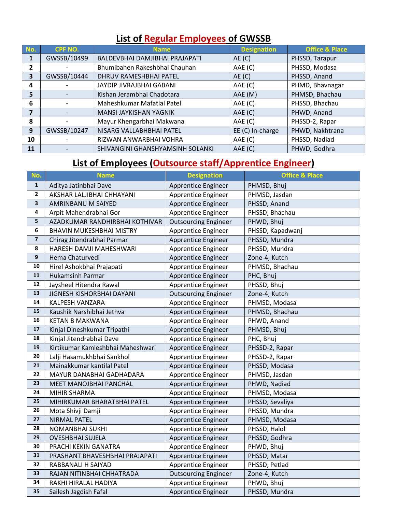#### **List of Regular Employees of GWSSB**

| No.          | <b>CPF NO.</b> | <b>Name</b>                      | <b>Designation</b> | <b>Office &amp; Place</b> |
|--------------|----------------|----------------------------------|--------------------|---------------------------|
| 1            | GWSSB/10499    | BALDEVBHAI DAMJIBHAI PRAJAPATI   | AE(C)              | PHSSD, Tarapur            |
| $\mathbf{2}$ |                | Bhumibahen Rakeshbhai Chauhan    | AAE (C)            | PHSSD, Modasa             |
| 3            | GWSSB/10444    | DHRUV RAMESHBHAI PATEL           | AE(C)              | PHSSD, Anand              |
| 4            |                | JAYDIP JIVRAJBHAI GABANI         | AAE (C)            | PHMD, Bhavnagar           |
| 5            |                | Kishan Jerambhai Chadotara       | AAE (M)            | PHMSD, Bhachau            |
| 6            |                | Maheshkumar Mafatlal Patel       | AAE (C)            | PHSSD, Bhachau            |
| 7            |                | MANSI JAYKISHAN YAGNIK           | AAE (C)            | PHWD, Anand               |
| 8            |                | Mayur Khengarbhai Makwana        | AAE (C)            | PHSSD-2, Rapar            |
| 9            | GWSSB/10247    | NISARG VALLABHBHAI PATEL         | EE (C) In-charge   | PHWD, Nakhtrana           |
| 10           |                | RIZWAN ANWARBHAI VOHRA           | AAE (C)            | PHSSD, Nadiad             |
| 11           |                | SHIVANGINI GHANSHYAMSINH SOLANKI | AAE (C)            | PHWD, Godhra              |

## **List of Employees (Outsource staff/Apprentice Engineer)**

| No.                     | <b>Name</b>                       | <b>Designation</b>          | <b>Office &amp; Place</b> |
|-------------------------|-----------------------------------|-----------------------------|---------------------------|
| $\mathbf{1}$            | Aditya Jatinbhai Dave             | Apprentice Engineer         | PHMSD, Bhuj               |
| $\mathbf{2}$            | AKSHAR LALJIBHAI CHHAYANI         | Apprentice Engineer         | PHMSD, Jasdan             |
| $\overline{\mathbf{3}}$ | AMRINBANU M SAIYED                | Apprentice Engineer         | PHSSD, Anand              |
| 4                       | Arpit Mahendrabhai Gor            | Apprentice Engineer         | PHSSD, Bhachau            |
| 5                       | AZADKUMAR RANDHIRBHAI KOTHIVAR    | <b>Outsourcing Engineer</b> | PHWD, Bhuj                |
| 6                       | <b>BHAVIN MUKESHBHAI MISTRY</b>   | Apprentice Engineer         | PHSSD, Kapadwanj          |
| $\overline{\mathbf{z}}$ | Chirag Jitendrabhai Parmar        | Apprentice Engineer         | PHSSD, Mundra             |
| $\pmb{8}$               | HARESH DAMJI MAHESHWARI           | Apprentice Engineer         | PHSSD, Mundra             |
| $\boldsymbol{9}$        | Hema Chaturvedi                   | Apprentice Engineer         | Zone-4, Kutch             |
| ${\bf 10}$              | Hirel Ashokbhai Prajapati         | Apprentice Engineer         | PHMSD, Bhachau            |
| ${\bf 11}$              | <b>Hukamsinh Parmar</b>           | Apprentice Engineer         | PHC, Bhuj                 |
| 12                      | Jaysheel Hitendra Rawal           | <b>Apprentice Engineer</b>  | PHSSD, Bhuj               |
| 13                      | JIGNESH KISHORBHAI DAYANI         | <b>Outsourcing Engineer</b> | Zone-4, Kutch             |
| 14                      | KALPESH VANZARA                   | Apprentice Engineer         | PHMSD, Modasa             |
| 15                      | Kaushik Narshibhai Jethva         | Apprentice Engineer         | PHMSD, Bhachau            |
| 16                      | <b>KETAN B MAKWANA</b>            | Apprentice Engineer         | PHWD, Anand               |
| $17\,$                  | Kinjal Dineshkumar Tripathi       | Apprentice Engineer         | PHMSD, Bhuj               |
| 18                      | Kinjal Jitendrabhai Dave          | Apprentice Engineer         | PHC, Bhuj                 |
| 19                      | Kirtikumar Kamleshbhai Maheshwari | Apprentice Engineer         | PHSSD-2, Rapar            |
| 20                      | Lalji Hasamukhbhai Sankhol        | Apprentice Engineer         | PHSSD-2, Rapar            |
| 21                      | Mainakkumar kantilal Patel        | Apprentice Engineer         | PHSSD, Modasa             |
| 22                      | MAYUR DANABHAI GADHADARA          | Apprentice Engineer         | PHMSD, Jasdan             |
| 23                      | MEET MANOJBHAI PANCHAL            | Apprentice Engineer         | PHWD, Nadiad              |
| 24                      | MIHIR SHARMA                      | Apprentice Engineer         | PHMSD, Modasa             |
| 25                      | MIHIRKUMAR BHARATBHAI PATEL       | Apprentice Engineer         | PHSSD, Sevaliya           |
| 26                      | Mota Shivji Damji                 | Apprentice Engineer         | PHSSD, Mundra             |
| 27                      | <b>NIRMAL PATEL</b>               | Apprentice Engineer         | PHMSD, Modasa             |
| 28                      | NOMANBHAI SUKHI                   | Apprentice Engineer         | PHSSD, Halol              |
| 29                      | <b>OVESHBHAI SUJELA</b>           | Apprentice Engineer         | PHSSD, Godhra             |
| 30                      | PRACHI KEKIN GANATRA              | Apprentice Engineer         | PHWD, Bhuj                |
| 31                      | PRASHANT BHAVESHBHAI PRAJAPATI    | Apprentice Engineer         | PHSSD, Matar              |
| 32                      | RABBANALI H SAIYAD                | Apprentice Engineer         | PHSSD, Petlad             |
| 33                      | RAJAN NITINBHAI CHHATRADA         | <b>Outsourcing Engineer</b> | Zone-4, Kutch             |
| 34                      | RAKHI HIRALAL HADIYA              | Apprentice Engineer         | PHWD, Bhuj                |
| 35                      | Sailesh Jagdish Fafal             | Apprentice Engineer         | PHSSD, Mundra             |